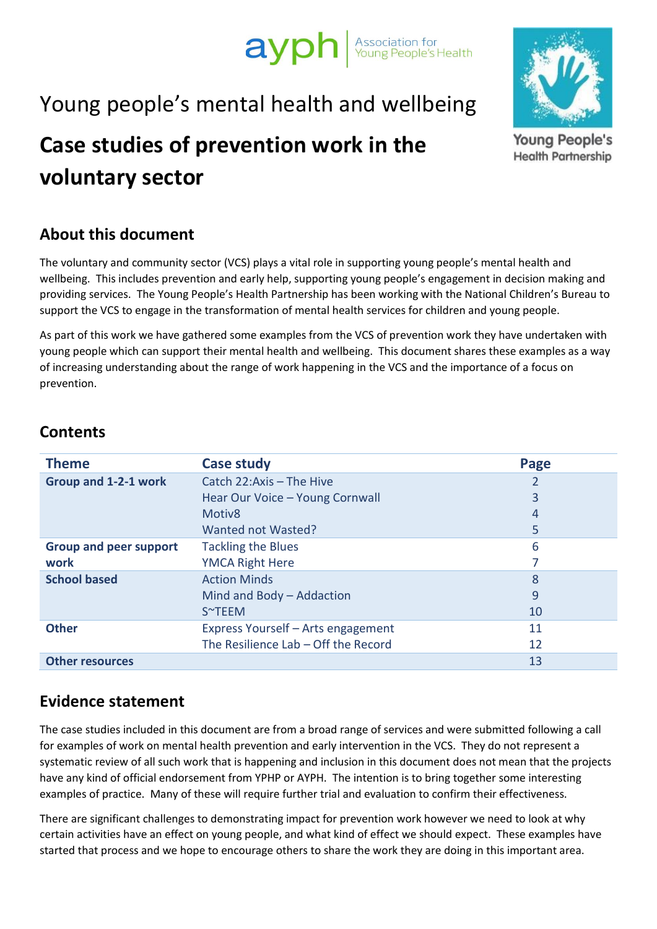# ayph Association for

## Young people's mental health and wellbeing

## **Case studies of prevention work in the voluntary sector**

### **About this document**

The voluntary and community sector (VCS) plays a vital role in supporting young people's mental health and wellbeing. This includes prevention and early help, supporting young people's engagement in decision making and providing services. The Young People's Health Partnership has been working with the National Children's Bureau to support the VCS to engage in the transformation of mental health services for children and young people.

As part of this work we have gathered some examples from the VCS of prevention work they have undertaken with young people which can support their mental health and wellbeing. This document shares these examples as a way of increasing understanding about the range of work happening in the VCS and the importance of a focus on prevention.

#### **Contents**

| <b>Theme</b>                  | Case study                          | Page |
|-------------------------------|-------------------------------------|------|
| Group and 1-2-1 work          | Catch 22: Axis - The Hive           |      |
|                               | Hear Our Voice - Young Cornwall     | 3    |
|                               | Motiv <sub>8</sub>                  | 4    |
|                               | Wanted not Wasted?                  | 5    |
| <b>Group and peer support</b> | <b>Tackling the Blues</b>           | 6    |
| work                          | <b>YMCA Right Here</b>              |      |
| <b>School based</b>           | <b>Action Minds</b>                 | 8    |
|                               | Mind and Body - Addaction           | 9    |
|                               | S~TEEM                              | 10   |
| <b>Other</b>                  | Express Yourself - Arts engagement  | 11   |
|                               | The Resilience Lab - Off the Record | 12   |
| <b>Other resources</b>        |                                     | 13   |

#### **Evidence statement**

The case studies included in this document are from a broad range of services and were submitted following a call for examples of work on mental health prevention and early intervention in the VCS. They do not represent a systematic review of all such work that is happening and inclusion in this document does not mean that the projects have any kind of official endorsement from YPHP or AYPH. The intention is to bring together some interesting examples of practice. Many of these will require further trial and evaluation to confirm their effectiveness.

There are significant challenges to demonstrating impact for prevention work however we need to look at why certain activities have an effect on young people, and what kind of effect we should expect. These examples have started that process and we hope to encourage others to share the work they are doing in this important area.



**Young People's Health Partnership**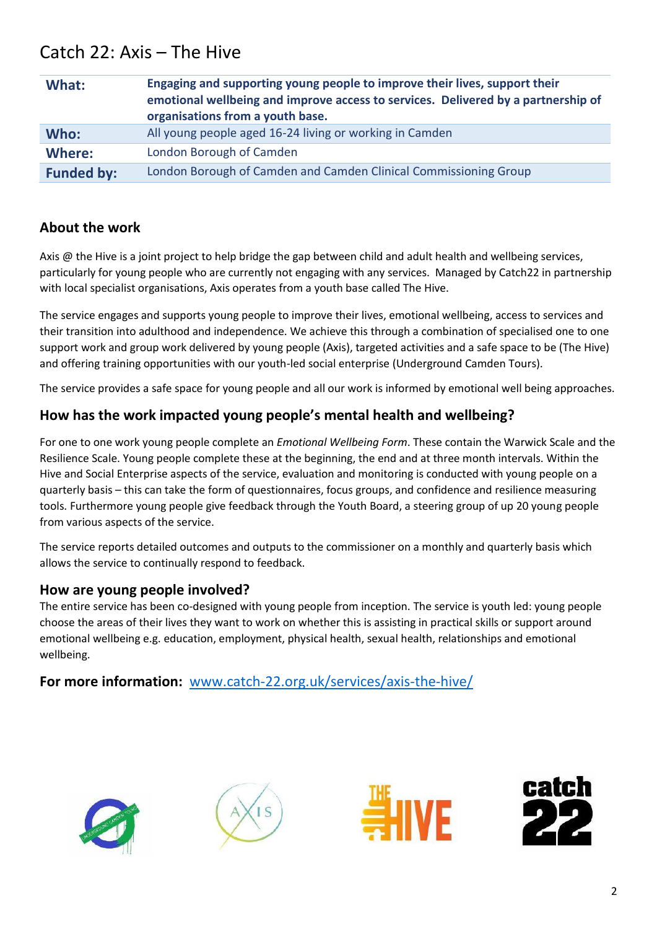## Catch 22: Axis – The Hive

| What:             | Engaging and supporting young people to improve their lives, support their<br>emotional wellbeing and improve access to services. Delivered by a partnership of<br>organisations from a youth base. |
|-------------------|-----------------------------------------------------------------------------------------------------------------------------------------------------------------------------------------------------|
| Who:              | All young people aged 16-24 living or working in Camden                                                                                                                                             |
| Where:            | London Borough of Camden                                                                                                                                                                            |
| <b>Funded by:</b> | London Borough of Camden and Camden Clinical Commissioning Group                                                                                                                                    |

#### **About the work**

Axis @ the Hive is a joint project to help bridge the gap between child and adult health and wellbeing services, particularly for young people who are currently not engaging with any services. Managed by Catch22 in partnership with local specialist organisations, Axis operates from a youth base called The Hive.

The service engages and supports young people to improve their lives, emotional wellbeing, access to services and their transition into adulthood and independence. We achieve this through a combination of specialised one to one support work and group work delivered by young people (Axis), targeted activities and a safe space to be (The Hive) and offering training opportunities with our youth-led social enterprise (Underground Camden Tours).

The service provides a safe space for young people and all our work is informed by emotional well being approaches.

#### **How has the work impacted young people's mental health and wellbeing?**

For one to one work young people complete an *Emotional Wellbeing Form*. These contain the Warwick Scale and the Resilience Scale. Young people complete these at the beginning, the end and at three month intervals. Within the Hive and Social Enterprise aspects of the service, evaluation and monitoring is conducted with young people on a quarterly basis – this can take the form of questionnaires, focus groups, and confidence and resilience measuring tools. Furthermore young people give feedback through the Youth Board, a steering group of up 20 young people from various aspects of the service.

The service reports detailed outcomes and outputs to the commissioner on a monthly and quarterly basis which allows the service to continually respond to feedback.

#### **How are young people involved?**

The entire service has been co-designed with young people from inception. The service is youth led: young people choose the areas of their lives they want to work on whether this is assisting in practical skills or support around emotional wellbeing e.g. education, employment, physical health, sexual health, relationships and emotional wellbeing.

#### **For more information:** [www.catch-22.org.uk/services/axis-the-hive/](http://www.catch-22.org.uk/services/axis-the-hive)







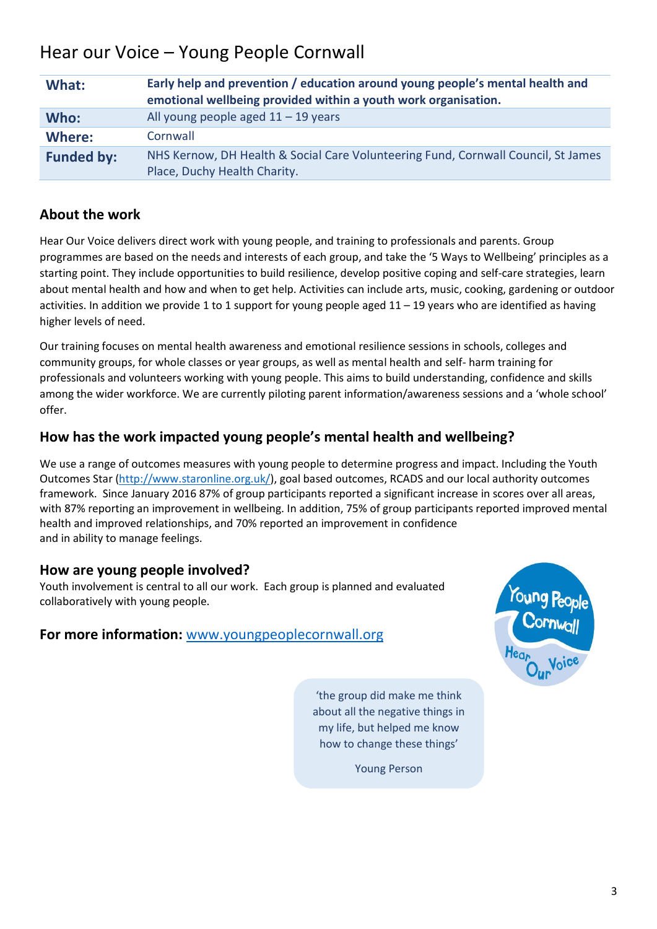## Hear our Voice – Young People Cornwall

| What:             | Early help and prevention / education around young people's mental health and<br>emotional wellbeing provided within a youth work organisation. |
|-------------------|-------------------------------------------------------------------------------------------------------------------------------------------------|
| Who:              | All young people aged $11 - 19$ years                                                                                                           |
| Where:            | Cornwall                                                                                                                                        |
| <b>Funded by:</b> | NHS Kernow, DH Health & Social Care Volunteering Fund, Cornwall Council, St James<br>Place, Duchy Health Charity.                               |

#### **About the work**

Hear Our Voice delivers direct work with young people, and training to professionals and parents. Group programmes are based on the needs and interests of each group, and take the '5 Ways to Wellbeing' principles as a starting point. They include opportunities to build resilience, develop positive coping and self-care strategies, learn about mental health and how and when to get help. Activities can include arts, music, cooking, gardening or outdoor activities. In addition we provide 1 to 1 support for young people aged  $11 - 19$  years who are identified as having higher levels of need.

Our training focuses on mental health awareness and emotional resilience sessions in schools, colleges and community groups, for whole classes or year groups, as well as mental health and self- harm training for professionals and volunteers working with young people. This aims to build understanding, confidence and skills among the wider workforce. We are currently piloting parent information/awareness sessions and a 'whole school' offer.

#### **How has the work impacted young people's mental health and wellbeing?**

We use a range of outcomes measures with young people to determine progress and impact. Including the Youth Outcomes Star [\(http://www.staronline.org.uk/\)](http://www.staronline.org.uk/), goal based outcomes, RCADS and our local authority outcomes framework. Since January 2016 87% of group participants reported a significant increase in scores over all areas, with 87% reporting an improvement in wellbeing. In addition, 75% of group participants reported improved mental health and improved relationships, and 70% reported an improvement in confidence and in ability to manage feelings.

#### **How are young people involved?**

Youth involvement is central to all our work. Each group is planned and evaluated collaboratively with young people.

#### **For more information:** [www.youngpeoplecornwall.org](http://www.youngpeoplecornwall.org/)



'the group did make me think about all the negative things in my life, but helped me know how to change these things'

Young Person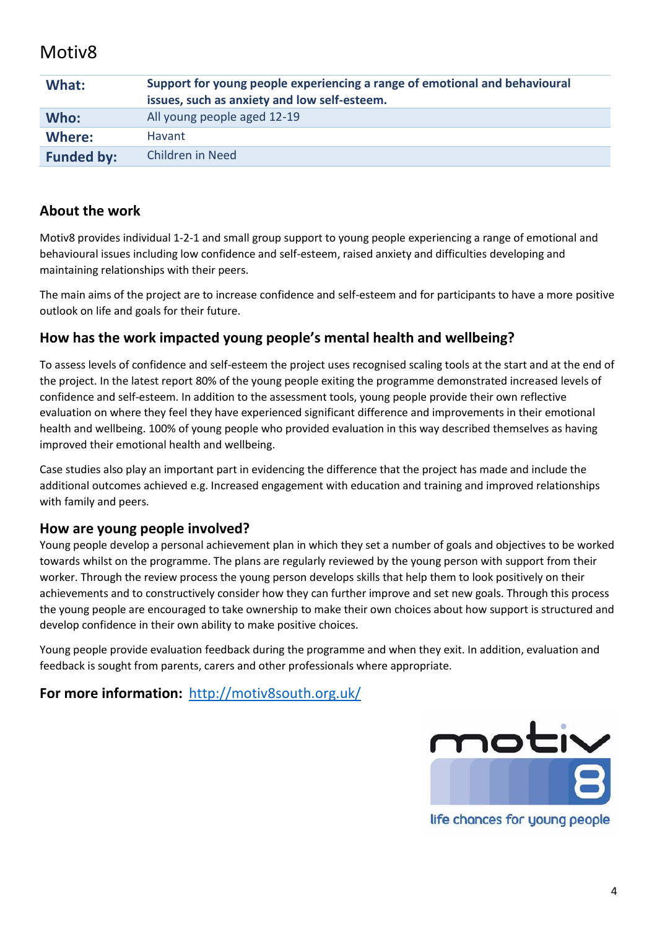### Motiv8

| What:             | Support for young people experiencing a range of emotional and behavioural<br>issues, such as anxiety and low self-esteem. |
|-------------------|----------------------------------------------------------------------------------------------------------------------------|
| Who:              | All young people aged 12-19                                                                                                |
| Where:            | Havant                                                                                                                     |
| <b>Funded by:</b> | Children in Need                                                                                                           |

#### **About the work**

Motiv8 provides individual 1-2-1 and small group support to young people experiencing a range of emotional and behavioural issues including low confidence and self-esteem, raised anxiety and difficulties developing and maintaining relationships with their peers.

The main aims of the project are to increase confidence and self-esteem and for participants to have a more positive outlook on life and goals for their future.

#### **How has the work impacted young people's mental health and wellbeing?**

To assess levels of confidence and self-esteem the project uses recognised scaling tools at the start and at the end of the project. In the latest report 80% of the young people exiting the programme demonstrated increased levels of confidence and self-esteem. In addition to the assessment tools, young people provide their own reflective evaluation on where they feel they have experienced significant difference and improvements in their emotional health and wellbeing. 100% of young people who provided evaluation in this way described themselves as having improved their emotional health and wellbeing.

Case studies also play an important part in evidencing the difference that the project has made and include the additional outcomes achieved e.g. Increased engagement with education and training and improved relationships with family and peers.

#### **How are young people involved?**

Young people develop a personal achievement plan in which they set a number of goals and objectives to be worked towards whilst on the programme. The plans are regularly reviewed by the young person with support from their worker. Through the review process the young person develops skills that help them to look positively on their achievements and to constructively consider how they can further improve and set new goals. Through this process the young people are encouraged to take ownership to make their own choices about how support is structured and develop confidence in their own ability to make positive choices.

Young people provide evaluation feedback during the programme and when they exit. In addition, evaluation and feedback is sought from parents, carers and other professionals where appropriate.

**For more information:** <http://motiv8south.org.uk/>



life chances for young people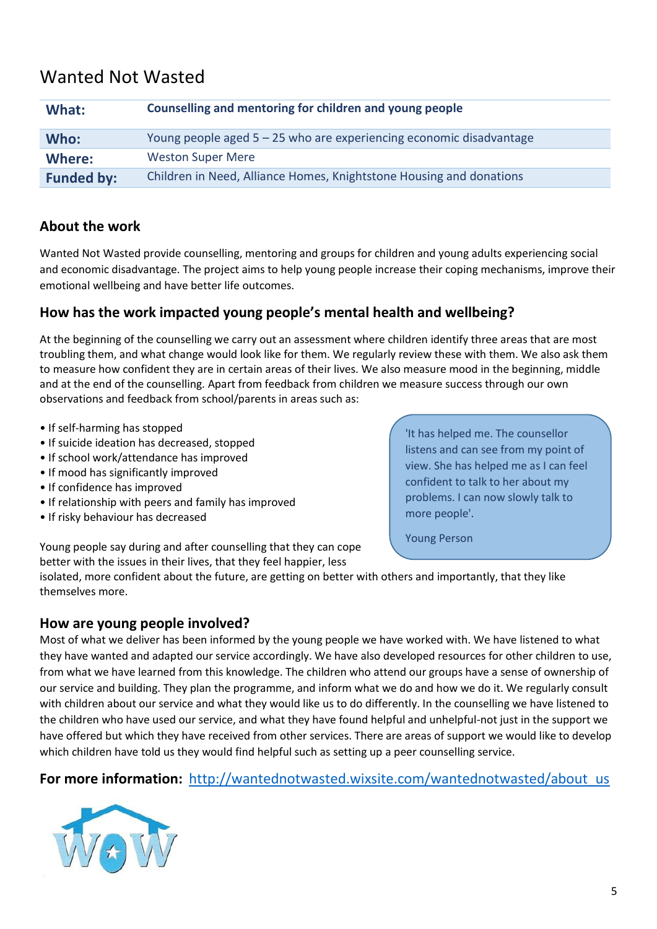## Wanted Not Wasted

| What:             | Counselling and mentoring for children and young people               |
|-------------------|-----------------------------------------------------------------------|
| Who:              | Young people aged $5 - 25$ who are experiencing economic disadvantage |
| Where:            | <b>Weston Super Mere</b>                                              |
| <b>Funded by:</b> | Children in Need, Alliance Homes, Knightstone Housing and donations   |

#### **About the work**

Wanted Not Wasted provide counselling, mentoring and groups for children and young adults experiencing social and economic disadvantage. The project aims to help young people increase their coping mechanisms, improve their emotional wellbeing and have better life outcomes.

#### **How has the work impacted young people's mental health and wellbeing?**

At the beginning of the counselling we carry out an assessment where children identify three areas that are most troubling them, and what change would look like for them. We regularly review these with them. We also ask them to measure how confident they are in certain areas of their lives. We also measure mood in the beginning, middle and at the end of the counselling. Apart from feedback from children we measure success through our own observations and feedback from school/parents in areas such as:

- If self-harming has stopped
- If suicide ideation has decreased, stopped
- If school work/attendance has improved
- If mood has significantly improved
- If confidence has improved
- If relationship with peers and family has improved
- If risky behaviour has decreased

'It has helped me. The counsellor listens and can see from my point of view. She has helped me as I can feel confident to talk to her about my problems. I can now slowly talk to more people'.

Young Person

Young people say during and after counselling that they can cope better with the issues in their lives, that they feel happier, less

isolated, more confident about the future, are getting on better with others and importantly, that they like themselves more.

#### **How are young people involved?**

Most of what we deliver has been informed by the young people we have worked with. We have listened to what they have wanted and adapted our service accordingly. We have also developed resources for other children to use, from what we have learned from this knowledge. The children who attend our groups have a sense of ownership of our service and building. They plan the programme, and inform what we do and how we do it. We regularly consult with children about our service and what they would like us to do differently. In the counselling we have listened to the children who have used our service, and what they have found helpful and unhelpful-not just in the support we have offered but which they have received from other services. There are areas of support we would like to develop which children have told us they would find helpful such as setting up a peer counselling service.

**For more information:** [http://wantednotwasted.wixsite.com/wantednotwasted/about\\_us](http://wantednotwasted.wixsite.com/wantednotwasted/about_us)

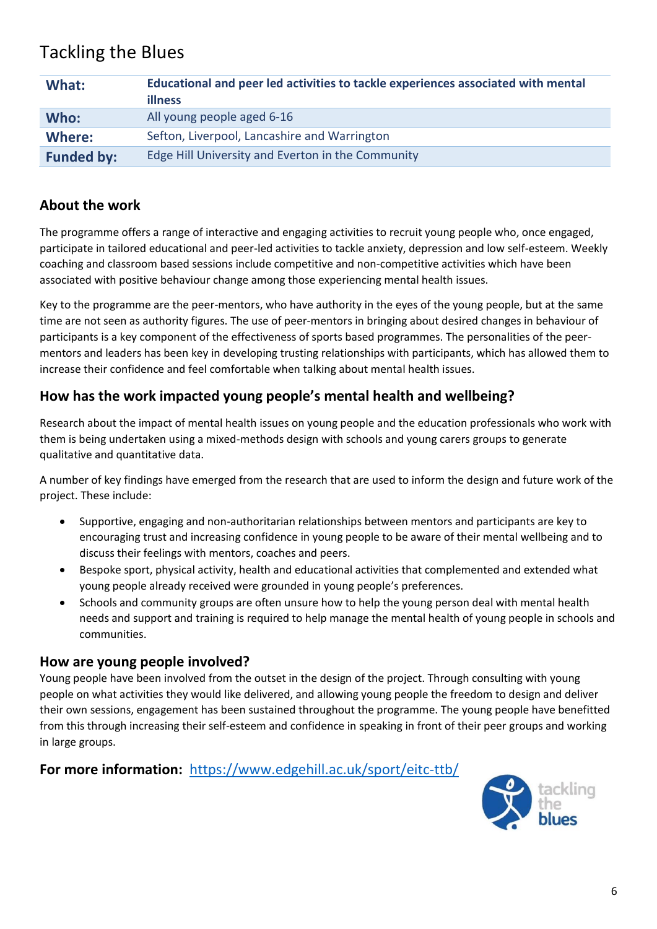## Tackling the Blues

| What:             | Educational and peer led activities to tackle experiences associated with mental<br><b>illness</b> |
|-------------------|----------------------------------------------------------------------------------------------------|
| Who:              | All young people aged 6-16                                                                         |
| Where:            | Sefton, Liverpool, Lancashire and Warrington                                                       |
| <b>Funded by:</b> | Edge Hill University and Everton in the Community                                                  |

#### **About the work**

The programme offers a range of interactive and engaging activities to recruit young people who, once engaged, participate in tailored educational and peer-led activities to tackle anxiety, depression and low self-esteem. Weekly coaching and classroom based sessions include competitive and non-competitive activities which have been associated with positive behaviour change among those experiencing mental health issues.

Key to the programme are the peer-mentors, who have authority in the eyes of the young people, but at the same time are not seen as authority figures. The use of peer-mentors in bringing about desired changes in behaviour of participants is a key component of the effectiveness of sports based programmes. The personalities of the peermentors and leaders has been key in developing trusting relationships with participants, which has allowed them to increase their confidence and feel comfortable when talking about mental health issues.

#### **How has the work impacted young people's mental health and wellbeing?**

Research about the impact of mental health issues on young people and the education professionals who work with them is being undertaken using a mixed-methods design with schools and young carers groups to generate qualitative and quantitative data.

A number of key findings have emerged from the research that are used to inform the design and future work of the project. These include:

- Supportive, engaging and non-authoritarian relationships between mentors and participants are key to encouraging trust and increasing confidence in young people to be aware of their mental wellbeing and to discuss their feelings with mentors, coaches and peers.
- Bespoke sport, physical activity, health and educational activities that complemented and extended what young people already received were grounded in young people's preferences.
- Schools and community groups are often unsure how to help the young person deal with mental health needs and support and training is required to help manage the mental health of young people in schools and communities.

#### **How are young people involved?**

Young people have been involved from the outset in the design of the project. Through consulting with young people on what activities they would like delivered, and allowing young people the freedom to design and deliver their own sessions, engagement has been sustained throughout the programme. The young people have benefitted from this through increasing their self-esteem and confidence in speaking in front of their peer groups and working in large groups.

**For more information:** <https://www.edgehill.ac.uk/sport/eitc-ttb/>

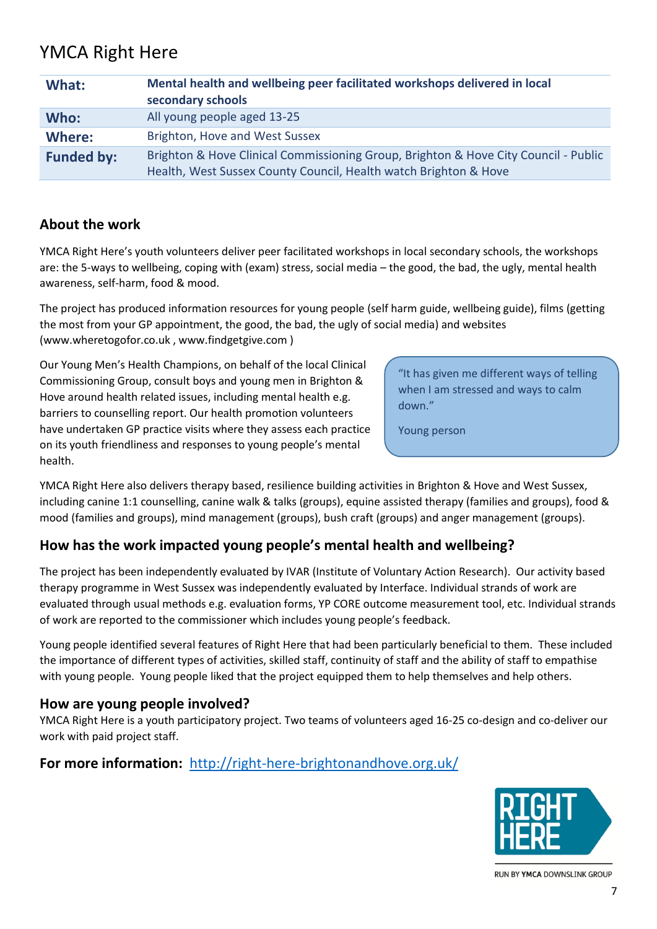## YMCA Right Here

| What:             | Mental health and wellbeing peer facilitated workshops delivered in local<br>secondary schools                                                          |
|-------------------|---------------------------------------------------------------------------------------------------------------------------------------------------------|
| Who:              | All young people aged 13-25                                                                                                                             |
| Where:            | Brighton, Hove and West Sussex                                                                                                                          |
| <b>Funded by:</b> | Brighton & Hove Clinical Commissioning Group, Brighton & Hove City Council - Public<br>Health, West Sussex County Council, Health watch Brighton & Hove |

#### **About the work**

YMCA Right Here's youth volunteers deliver peer facilitated workshops in local secondary schools, the workshops are: the 5-ways to wellbeing, coping with (exam) stress, social media – the good, the bad, the ugly, mental health awareness, self-harm, food & mood.

The project has produced information resources for young people (self harm guide, wellbeing guide), films (getting the most from your GP appointment, the good, the bad, the ugly of social media) and websites (www.wheretogofor.co.uk , www.findgetgive.com )

Our Young Men's Health Champions, on behalf of the local Clinical Commissioning Group, consult boys and young men in Brighton & Hove around health related issues, including mental health e.g. barriers to counselling report. Our health promotion volunteers have undertaken GP practice visits where they assess each practice on its youth friendliness and responses to young people's mental health.

"It has given me different ways of telling when I am stressed and ways to calm down."

Young person

YMCA Right Here also delivers therapy based, resilience building activities in Brighton & Hove and West Sussex, including canine 1:1 counselling, canine walk & talks (groups), equine assisted therapy (families and groups), food & mood (families and groups), mind management (groups), bush craft (groups) and anger management (groups).

#### **How has the work impacted young people's mental health and wellbeing?**

The project has been independently evaluated by IVAR (Institute of Voluntary Action Research). Our activity based therapy programme in West Sussex was independently evaluated by Interface. Individual strands of work are evaluated through usual methods e.g. evaluation forms, YP CORE outcome measurement tool, etc. Individual strands of work are reported to the commissioner which includes young people's feedback.

Young people identified several features of Right Here that had been particularly beneficial to them. These included the importance of different types of activities, skilled staff, continuity of staff and the ability of staff to empathise with young people. Young people liked that the project equipped them to help themselves and help others.

#### **How are young people involved?**

YMCA Right Here is a youth participatory project. Two teams of volunteers aged 16-25 co-design and co-deliver our work with paid project staff.

#### **For more information:** <http://right-here-brightonandhove.org.uk/>



RUN BY YMCA DOWNSLINK GROUP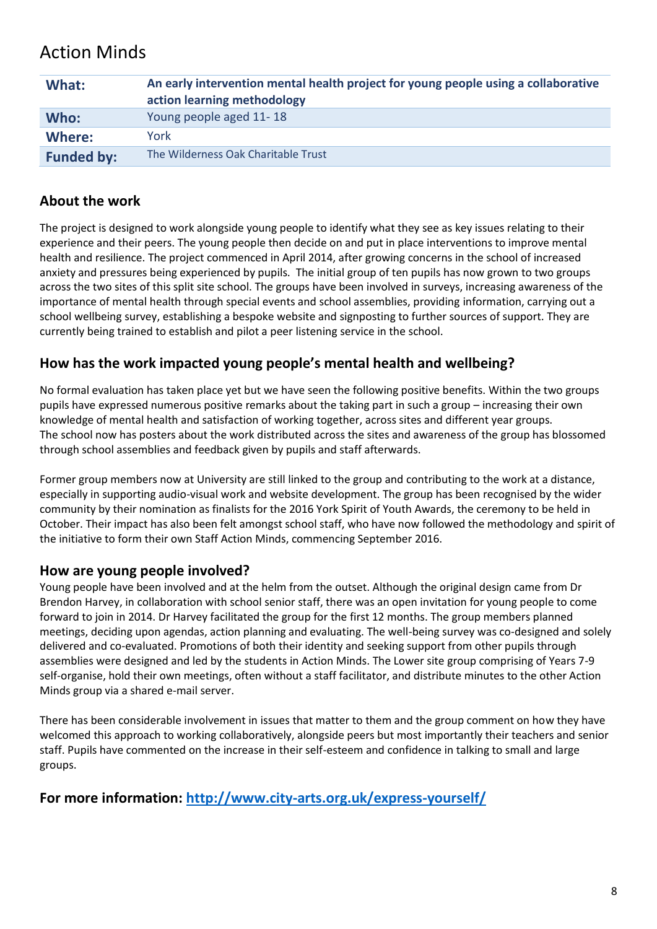## Action Minds

| What:             | An early intervention mental health project for young people using a collaborative<br>action learning methodology |
|-------------------|-------------------------------------------------------------------------------------------------------------------|
| Who:              | Young people aged 11-18                                                                                           |
| Where:            | York                                                                                                              |
| <b>Funded by:</b> | The Wilderness Oak Charitable Trust                                                                               |

#### **About the work**

The project is designed to work alongside young people to identify what they see as key issues relating to their experience and their peers. The young people then decide on and put in place interventions to improve mental health and resilience. The project commenced in April 2014, after growing concerns in the school of increased anxiety and pressures being experienced by pupils. The initial group of ten pupils has now grown to two groups across the two sites of this split site school. The groups have been involved in surveys, increasing awareness of the importance of mental health through special events and school assemblies, providing information, carrying out a school wellbeing survey, establishing a bespoke website and signposting to further sources of support. They are currently being trained to establish and pilot a peer listening service in the school.

#### **How has the work impacted young people's mental health and wellbeing?**

No formal evaluation has taken place yet but we have seen the following positive benefits. Within the two groups pupils have expressed numerous positive remarks about the taking part in such a group – increasing their own knowledge of mental health and satisfaction of working together, across sites and different year groups. The school now has posters about the work distributed across the sites and awareness of the group has blossomed through school assemblies and feedback given by pupils and staff afterwards.

Former group members now at University are still linked to the group and contributing to the work at a distance, especially in supporting audio-visual work and website development. The group has been recognised by the wider community by their nomination as finalists for the 2016 York Spirit of Youth Awards, the ceremony to be held in October. Their impact has also been felt amongst school staff, who have now followed the methodology and spirit of the initiative to form their own Staff Action Minds, commencing September 2016.

#### **How are young people involved?**

Young people have been involved and at the helm from the outset. Although the original design came from Dr Brendon Harvey, in collaboration with school senior staff, there was an open invitation for young people to come forward to join in 2014. Dr Harvey facilitated the group for the first 12 months. The group members planned meetings, deciding upon agendas, action planning and evaluating. The well-being survey was co-designed and solely delivered and co-evaluated. Promotions of both their identity and seeking support from other pupils through assemblies were designed and led by the students in Action Minds. The Lower site group comprising of Years 7-9 self-organise, hold their own meetings, often without a staff facilitator, and distribute minutes to the other Action Minds group via a shared e-mail server.

There has been considerable involvement in issues that matter to them and the group comment on how they have welcomed this approach to working collaboratively, alongside peers but most importantly their teachers and senior staff. Pupils have commented on the increase in their self-esteem and confidence in talking to small and large groups.

**For more information:<http://www.city-arts.org.uk/express-yourself/>**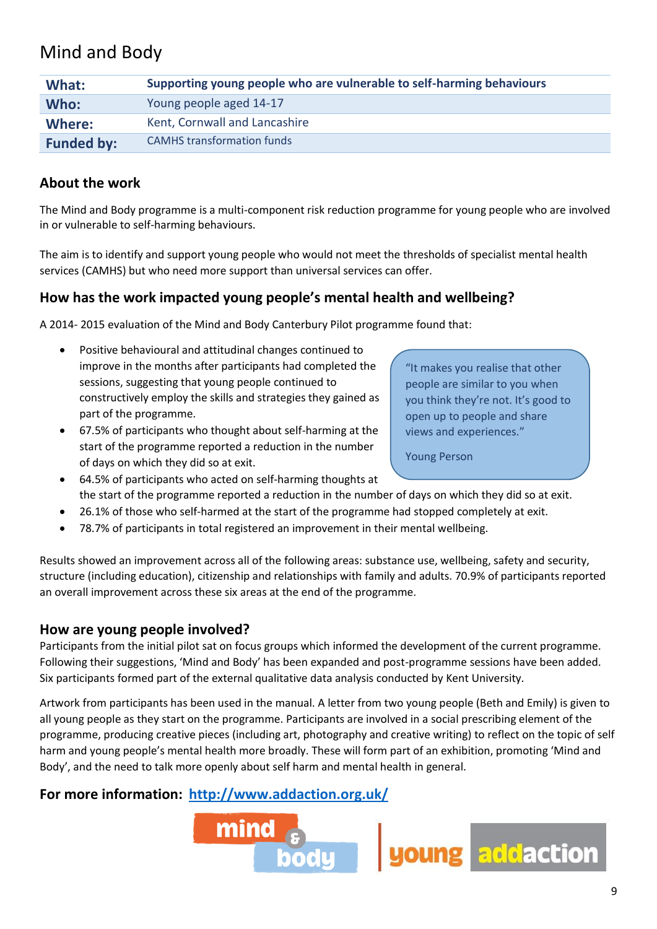## Mind and Body

| What:             | Supporting young people who are vulnerable to self-harming behaviours |
|-------------------|-----------------------------------------------------------------------|
| Who:              | Young people aged 14-17                                               |
| Where:            | Kent, Cornwall and Lancashire                                         |
| <b>Funded by:</b> | <b>CAMHS transformation funds</b>                                     |

#### **About the work**

The Mind and Body programme is a multi-component risk reduction programme for young people who are involved in or vulnerable to self-harming behaviours.

The aim is to identify and support young people who would not meet the thresholds of specialist mental health services (CAMHS) but who need more support than universal services can offer.

#### **How has the work impacted young people's mental health and wellbeing?**

A 2014- 2015 evaluation of the Mind and Body Canterbury Pilot programme found that:

- Positive behavioural and attitudinal changes continued to improve in the months after participants had completed the sessions, suggesting that young people continued to constructively employ the skills and strategies they gained as part of the programme.
- 67.5% of participants who thought about self-harming at the start of the programme reported a reduction in the number of days on which they did so at exit.

"It makes you realise that other people are similar to you when you think they're not. It's good to open up to people and share views and experiences."

Young Person

- 64.5% of participants who acted on self-harming thoughts at the start of the programme reported a reduction in the number of days on which they did so at exit.
- 26.1% of those who self-harmed at the start of the programme had stopped completely at exit.
- 78.7% of participants in total registered an improvement in their mental wellbeing.

Results showed an improvement across all of the following areas: substance use, wellbeing, safety and security, structure (including education), citizenship and relationships with family and adults. 70.9% of participants reported an overall improvement across these six areas at the end of the programme.

#### **How are young people involved?**

Participants from the initial pilot sat on focus groups which informed the development of the current programme. Following their suggestions, 'Mind and Body' has been expanded and post-programme sessions have been added. Six participants formed part of the external qualitative data analysis conducted by Kent University.

Artwork from participants has been used in the manual. A letter from two young people (Beth and Emily) is given to all young people as they start on the programme. Participants are involved in a social prescribing element of the programme, producing creative pieces (including art, photography and creative writing) to reflect on the topic of self harm and young people's mental health more broadly. These will form part of an exhibition, promoting 'Mind and Body', and the need to talk more openly about self harm and mental health in general.

#### **For more information: [http://www.addaction.org.uk/](http://www.addaction.org.uk/blog/%E2%80%98mind-and-body%E2%80%99-%E2%80%93-early-intervention-for-young-people-risk-self-harm)**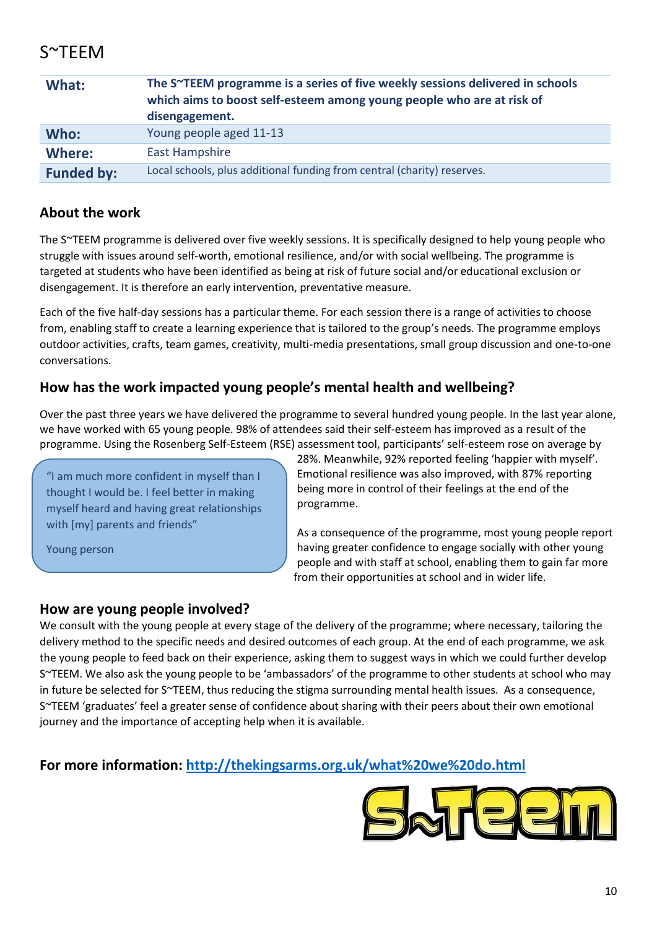## S~TEEM

| What:             | The S~TEEM programme is a series of five weekly sessions delivered in schools<br>which aims to boost self-esteem among young people who are at risk of<br>disengagement. |
|-------------------|--------------------------------------------------------------------------------------------------------------------------------------------------------------------------|
| Who:              | Young people aged 11-13                                                                                                                                                  |
| Where:            | <b>East Hampshire</b>                                                                                                                                                    |
| <b>Funded by:</b> | Local schools, plus additional funding from central (charity) reserves.                                                                                                  |

#### **About the work**

The S~TEEM programme is delivered over five weekly sessions. It is specifically designed to help young people who struggle with issues around self-worth, emotional resilience, and/or with social wellbeing. The programme is targeted at students who have been identified as being at risk of future social and/or educational exclusion or disengagement. It is therefore an early intervention, preventative measure.

Each of the five half-day sessions has a particular theme. For each session there is a range of activities to choose from, enabling staff to create a learning experience that is tailored to the group's needs. The programme employs outdoor activities, crafts, team games, creativity, multi-media presentations, small group discussion and one-to-one conversations.

#### **How has the work impacted young people's mental health and wellbeing?**

Over the past three years we have delivered the programme to several hundred young people. In the last year alone, we have worked with 65 young people. 98% of attendees said their self-esteem has improved as a result of the programme. Using the Rosenberg Self-Esteem (RSE) assessment tool, participants' self-esteem rose on average by

"I am much more confident in myself than I thought I would be. I feel better in making myself heard and having great relationships with [my] parents and friends"

Young person

28%. Meanwhile, 92% reported feeling 'happier with myself'. Emotional resilience was also improved, with 87% reporting being more in control of their feelings at the end of the programme.

As a consequence of the programme, most young people report having greater confidence to engage socially with other young people and with staff at school, enabling them to gain far more from their opportunities at school and in wider life.

#### **How are young people involved?**

We consult with the young people at every stage of the delivery of the programme; where necessary, tailoring the delivery method to the specific needs and desired outcomes of each group. At the end of each programme, we ask the young people to feed back on their experience, asking them to suggest ways in which we could further develop S~TEEM. We also ask the young people to be 'ambassadors' of the programme to other students at school who may in future be selected for S~TEEM, thus reducing the stigma surrounding mental health issues. As a consequence, S~TEEM 'graduates' feel a greater sense of confidence about sharing with their peers about their own emotional journey and the importance of accepting help when it is available.

#### **For more information:<http://thekingsarms.org.uk/what%20we%20do.html>**

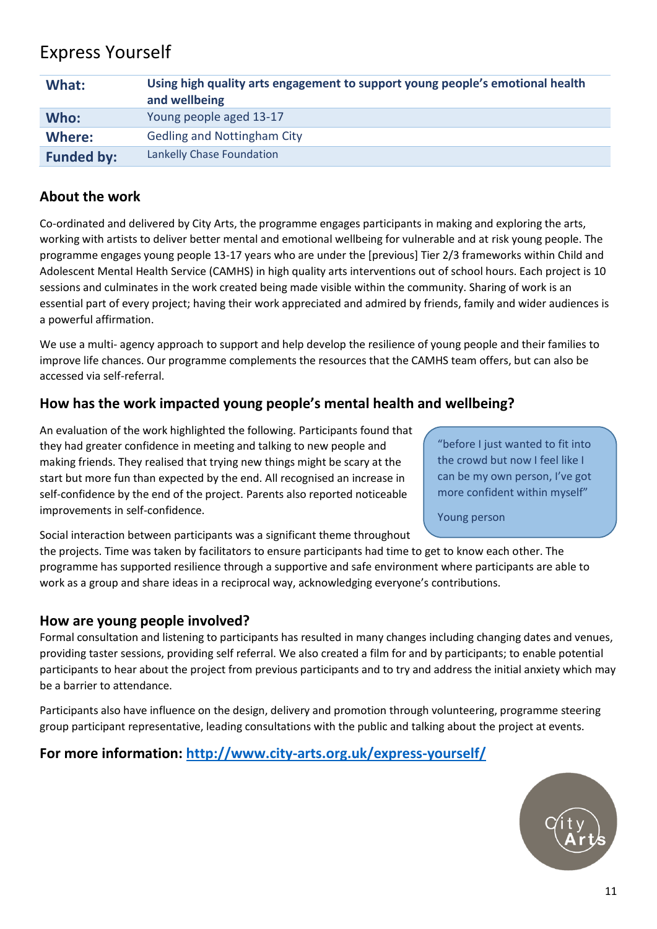## Express Yourself

| What:             | Using high quality arts engagement to support young people's emotional health<br>and wellbeing |
|-------------------|------------------------------------------------------------------------------------------------|
| Who:              | Young people aged 13-17                                                                        |
| Where:            | <b>Gedling and Nottingham City</b>                                                             |
| <b>Funded by:</b> | Lankelly Chase Foundation                                                                      |

#### **About the work**

Co-ordinated and delivered by City Arts, the programme engages participants in making and exploring the arts, working with artists to deliver better mental and emotional wellbeing for vulnerable and at risk young people. The programme engages young people 13-17 years who are under the [previous] Tier 2/3 frameworks within Child and Adolescent Mental Health Service (CAMHS) in high quality arts interventions out of school hours. Each project is 10 sessions and culminates in the work created being made visible within the community. Sharing of work is an essential part of every project; having their work appreciated and admired by friends, family and wider audiences is a powerful affirmation.

We use a multi- agency approach to support and help develop the resilience of young people and their families to improve life chances. Our programme complements the resources that the CAMHS team offers, but can also be accessed via self-referral.

#### **How has the work impacted young people's mental health and wellbeing?**

An evaluation of the work highlighted the following. Participants found that they had greater confidence in meeting and talking to new people and making friends. They realised that trying new things might be scary at the start but more fun than expected by the end. All recognised an increase in self-confidence by the end of the project. Parents also reported noticeable improvements in self-confidence.

"before I just wanted to fit into the crowd but now I feel like I can be my own person, I've got more confident within myself"

Young person

Social interaction between participants was a significant theme throughout the projects. Time was taken by facilitators to ensure participants had time to get to know each other. The programme has supported resilience through a supportive and safe environment where participants are able to work as a group and share ideas in a reciprocal way, acknowledging everyone's contributions.

#### **How are young people involved?**

Formal consultation and listening to participants has resulted in many changes including changing dates and venues, providing taster sessions, providing self referral. We also created a film for and by participants; to enable potential participants to hear about the project from previous participants and to try and address the initial anxiety which may be a barrier to attendance.

Participants also have influence on the design, delivery and promotion through volunteering, programme steering group participant representative, leading consultations with the public and talking about the project at events.

#### **For more information:<http://www.city-arts.org.uk/express-yourself/>**

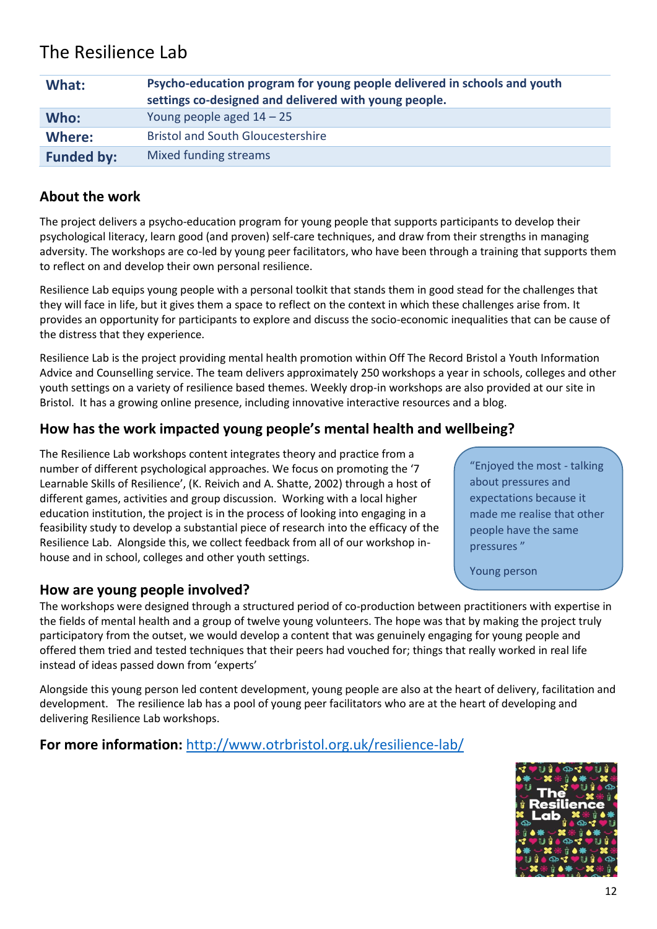## The Resilience Lab

| What:             | Psycho-education program for young people delivered in schools and youth<br>settings co-designed and delivered with young people. |
|-------------------|-----------------------------------------------------------------------------------------------------------------------------------|
| Who:              | Young people aged $14 - 25$                                                                                                       |
| Where:            | <b>Bristol and South Gloucestershire</b>                                                                                          |
| <b>Funded by:</b> | Mixed funding streams                                                                                                             |

#### **About the work**

The project delivers a psycho-education program for young people that supports participants to develop their psychological literacy, learn good (and proven) self-care techniques, and draw from their strengths in managing adversity. The workshops are co-led by young peer facilitators, who have been through a training that supports them to reflect on and develop their own personal resilience.

Resilience Lab equips young people with a personal toolkit that stands them in good stead for the challenges that they will face in life, but it gives them a space to reflect on the context in which these challenges arise from. It provides an opportunity for participants to explore and discuss the socio-economic inequalities that can be cause of the distress that they experience.

Resilience Lab is the project providing mental health promotion within Off The Record Bristol a Youth Information Advice and Counselling service. The team delivers approximately 250 workshops a year in schools, colleges and other youth settings on a variety of resilience based themes. Weekly drop-in workshops are also provided at our site in Bristol. It has a growing online presence, including innovative interactive resources and a blog.

#### **How has the work impacted young people's mental health and wellbeing?**

The Resilience Lab workshops content integrates theory and practice from a number of different psychological approaches. We focus on promoting the '7 Learnable Skills of Resilience', (K. Reivich and A. Shatte, 2002) through a host of different games, activities and group discussion. Working with a local higher education institution, the project is in the process of looking into engaging in a feasibility study to develop a substantial piece of research into the efficacy of the Resilience Lab. Alongside this, we collect feedback from all of our workshop inhouse and in school, colleges and other youth settings.

#### **How are young people involved?**

The workshops were designed through a structured period of co-production between practitioners with expertise in the fields of mental health and a group of twelve young volunteers. The hope was that by making the project truly participatory from the outset, we would develop a content that was genuinely engaging for young people and offered them tried and tested techniques that their peers had vouched for; things that really worked in real life instead of ideas passed down from 'experts'

Alongside this young person led content development, young people are also at the heart of delivery, facilitation and development. The resilience lab has a pool of young peer facilitators who are at the heart of developing and delivering Resilience Lab workshops.

#### **For more information:** <http://www.otrbristol.org.uk/resilience-lab/>

"Enjoyed the most - talking about pressures and expectations because it made me realise that other people have the same pressures "

Young person